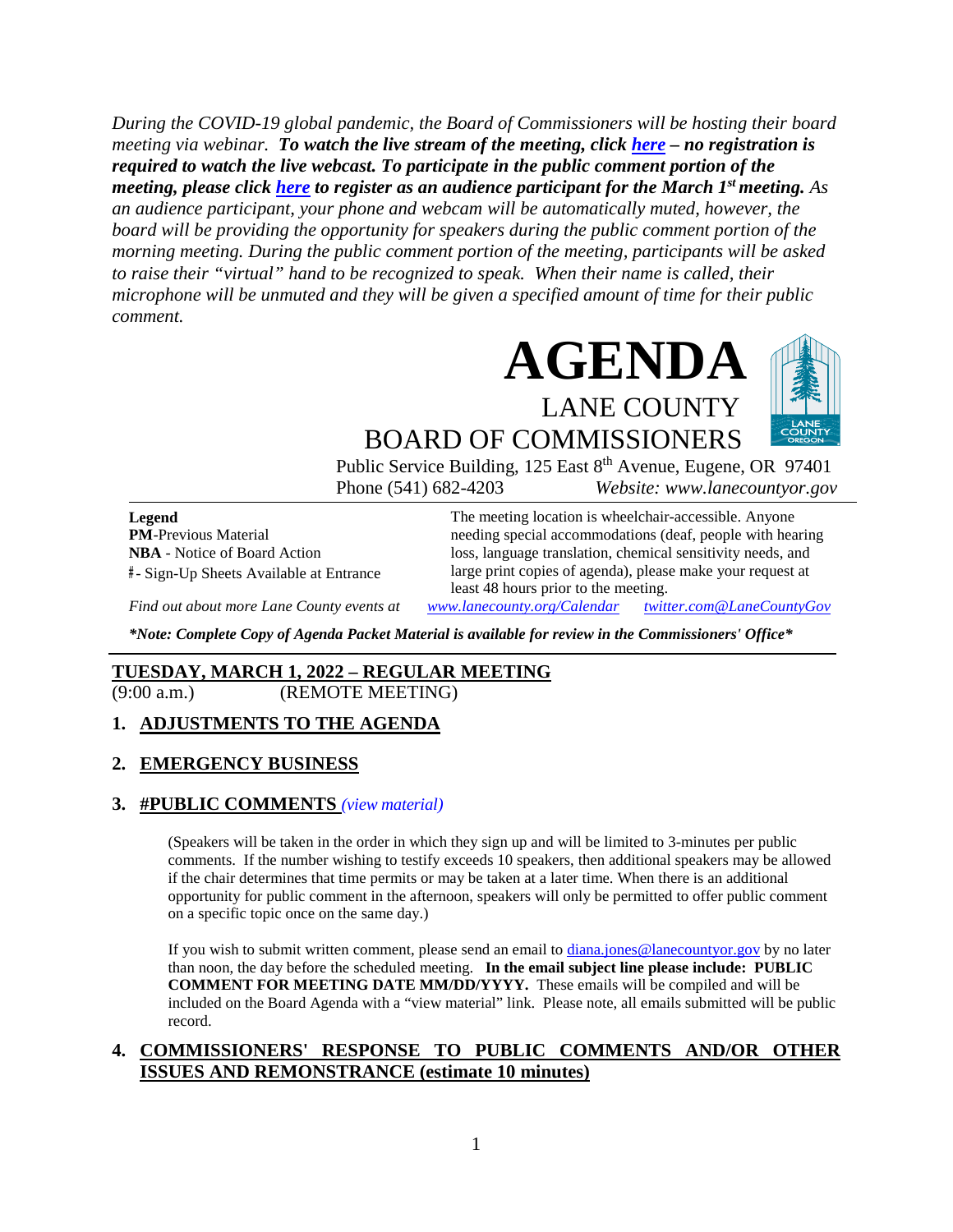*During the COVID-19 global pandemic, the Board of Commissioners will be hosting their board meeting via webinar. To watch the live stream of the meeting, click [here](https://lanecounty.org/cms/One.aspx?portalId=3585881&pageId=7842434) – no registration is required to watch the live webcast. To participate in the public comment portion of the meeting, please click [here](https://us06web.zoom.us/webinar/register/WN_vbqXMLZYQjOKhrabLD2G7Q) to register as an audience participant for the March 1st meeting. As an audience participant, your phone and webcam will be automatically muted, however, the board will be providing the opportunity for speakers during the public comment portion of the morning meeting. During the public comment portion of the meeting, participants will be asked to raise their "virtual" hand to be recognized to speak. When their name is called, their microphone will be unmuted and they will be given a specified amount of time for their public comment.* 



BOARD OF COMMISSIONERS Public Service Building, 125 East 8<sup>th</sup> Avenue, Eugene, OR 97401 Phone (541) 682-4203 *Website: www.lanecountyor.gov*

**Legend PM**-Previous Material **NBA** - Notice of Board Action **#** - Sign-Up Sheets Available at Entrance

The meeting location is wheelchair-accessible. Anyone needing special accommodations (deaf, people with hearing loss, language translation, chemical sensitivity needs, and large print copies of agenda), please make your request at least 48 hours prior to the meeting.

*Find out about more Lane County events at [www.lanecounty.org/Calendar](http://www.lanecounty.org/Calendar) [twitter.com@LaneCountyGov](https://twitter.com/lanecountygov?lang=en)*

*\*Note: Complete Copy of Agenda Packet Material is available for review in the Commissioners' Office\**

### **TUESDAY, MARCH 1, 2022 – REGULAR MEETING**

(9:00 a.m.) (REMOTE MEETING)

### **1. ADJUSTMENTS TO THE AGENDA**

#### **2. EMERGENCY BUSINESS**

#### **3. #PUBLIC COMMENTS** *(view [material\)](http://www.lanecountyor.gov/UserFiles/Servers/Server_3585797/File/Government/BCC/2022/2022_AGENDAS/030122agenda/T.3.pdf)*

(Speakers will be taken in the order in which they sign up and will be limited to 3-minutes per public comments. If the number wishing to testify exceeds 10 speakers, then additional speakers may be allowed if the chair determines that time permits or may be taken at a later time. When there is an additional opportunity for public comment in the afternoon, speakers will only be permitted to offer public comment on a specific topic once on the same day.)

If you wish to submit written comment, please send an email to [diana.jones@lanecountyor.gov](mailto:diana.jones@lanecountyor.gov) by no later than noon, the day before the scheduled meeting. **In the email subject line please include: PUBLIC COMMENT FOR MEETING DATE MM/DD/YYYY.** These emails will be compiled and will be included on the Board Agenda with a "view material" link. Please note, all emails submitted will be public record.

#### **4. COMMISSIONERS' RESPONSE TO PUBLIC COMMENTS AND/OR OTHER ISSUES AND REMONSTRANCE (estimate 10 minutes)**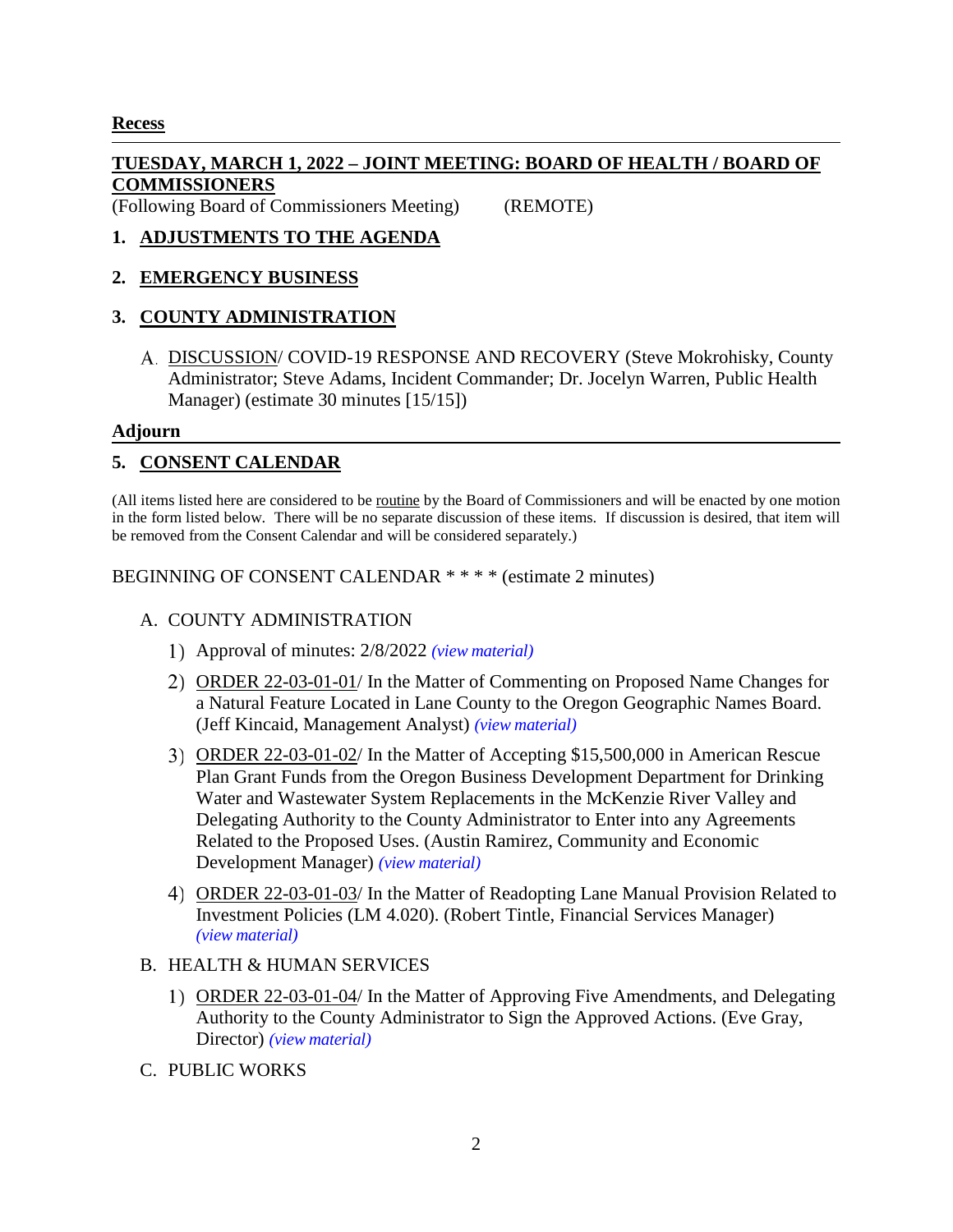### **Recess**

## **TUESDAY, MARCH 1, 2022 – JOINT MEETING: BOARD OF HEALTH / BOARD OF COMMISSIONERS**

(Following Board of Commissioners Meeting) (REMOTE)

## **1. ADJUSTMENTS TO THE AGENDA**

### **2. EMERGENCY BUSINESS**

## **3. COUNTY ADMINISTRATION**

DISCUSSION/ COVID-19 RESPONSE AND RECOVERY (Steve Mokrohisky, County Administrator; Steve Adams, Incident Commander; Dr. Jocelyn Warren, Public Health Manager) (estimate 30 minutes [15/15])

### **Adjourn**

### **5. CONSENT CALENDAR**

(All items listed here are considered to be routine by the Board of Commissioners and will be enacted by one motion in the form listed below. There will be no separate discussion of these items. If discussion is desired, that item will be removed from the Consent Calendar and will be considered separately.)

BEGINNING OF CONSENT CALENDAR \* \* \* \* (estimate 2 minutes)

### A. COUNTY ADMINISTRATION

- Approval of minutes: 2/8/2022 *(view [material\)](http://www.lanecountyor.gov/UserFiles/Servers/Server_3585797/File/Government/BCC/2022/2022_AGENDAS/030122agenda/T.5.A.1.pdf)*
- ORDER 22-03-01-01/ In the Matter of Commenting on Proposed Name Changes for a Natural Feature Located in Lane County to the Oregon Geographic Names Board. (Jeff Kincaid, Management Analyst) *(view [material\)](http://www.lanecountyor.gov/UserFiles/Servers/Server_3585797/File/Government/BCC/2022/2022_AGENDAS/030122agenda/T.5.A.2.pdf)*
- ORDER 22-03-01-02/ In the Matter of Accepting \$15,500,000 in American Rescue Plan Grant Funds from the Oregon Business Development Department for Drinking Water and Wastewater System Replacements in the McKenzie River Valley and Delegating Authority to the County Administrator to Enter into any Agreements Related to the Proposed Uses. (Austin Ramirez, Community and Economic Development Manager) *(view [material\)](http://www.lanecountyor.gov/UserFiles/Servers/Server_3585797/File/Government/BCC/2022/2022_AGENDAS/030122agenda/T.5.A.3.pdf)*
- ORDER 22-03-01-03/ In the Matter of Readopting Lane Manual Provision Related to Investment Policies (LM 4.020). (Robert Tintle, Financial Services Manager) *(view [material\)](http://www.lanecountyor.gov/UserFiles/Servers/Server_3585797/File/Government/BCC/2022/2022_AGENDAS/030122agenda/T.5.A.4.pdf)*

### B. HEALTH & HUMAN SERVICES

- ORDER 22-03-01-04/ In the Matter of Approving Five Amendments, and Delegating Authority to the County Administrator to Sign the Approved Actions. (Eve Gray, Director) *(view [material\)](http://www.lanecountyor.gov/UserFiles/Servers/Server_3585797/File/Government/BCC/2022/2022_AGENDAS/030122agenda/T.5.B.1.pdf)*
- C. PUBLIC WORKS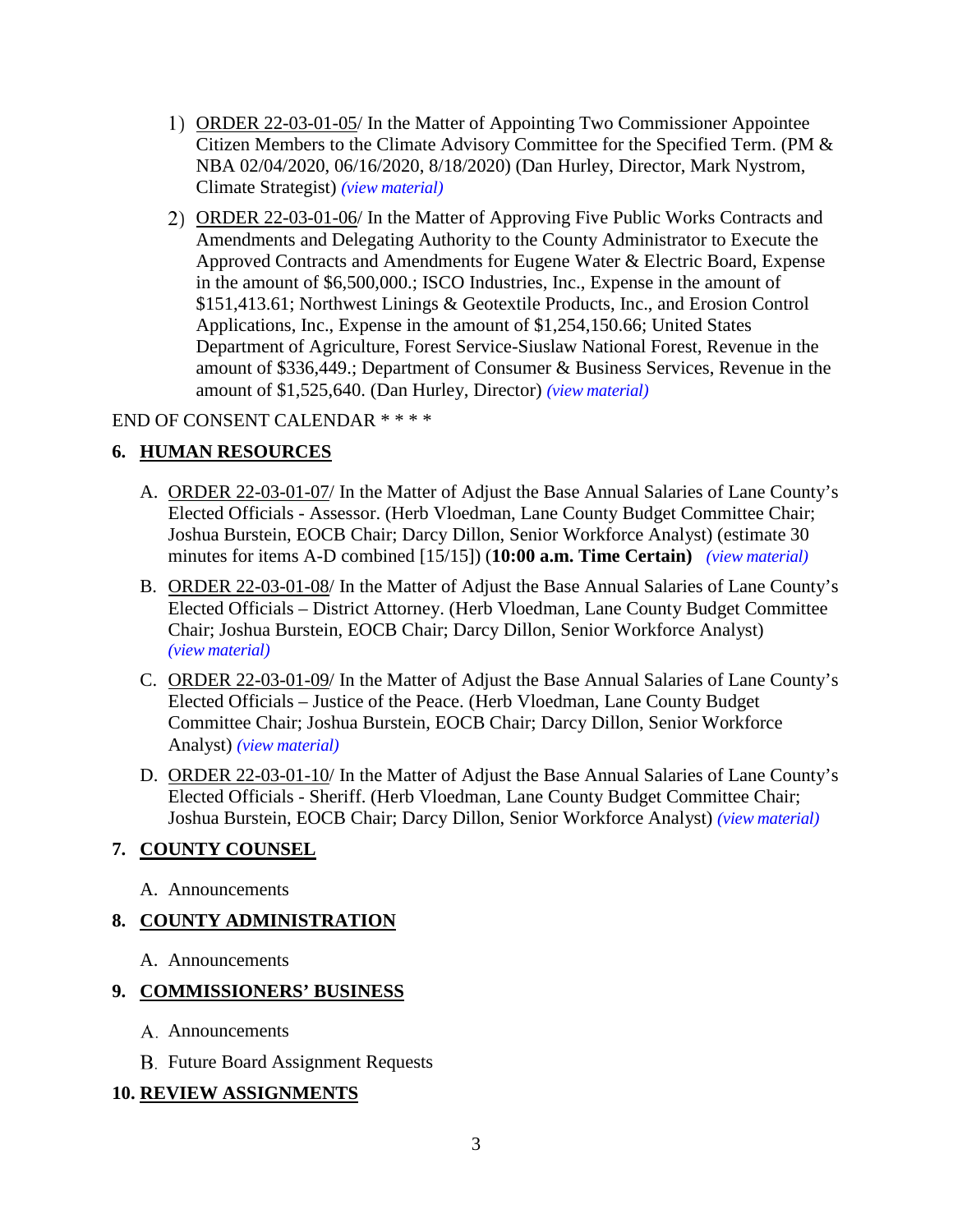- ORDER 22-03-01-05/ In the Matter of Appointing Two Commissioner Appointee Citizen Members to the Climate Advisory Committee for the Specified Term. (PM & NBA 02/04/2020, 06/16/2020, 8/18/2020) (Dan Hurley, Director, Mark Nystrom, Climate Strategist) *(view [material\)](http://www.lanecountyor.gov/UserFiles/Servers/Server_3585797/File/Government/BCC/2022/2022_AGENDAS/030122agenda/T.5.C.1.pdf)*
- ORDER 22-03-01-06/ In the Matter of Approving Five Public Works Contracts and Amendments and Delegating Authority to the County Administrator to Execute the Approved Contracts and Amendments for Eugene Water & Electric Board, Expense in the amount of \$6,500,000.; ISCO Industries, Inc., Expense in the amount of \$151,413.61; Northwest Linings & Geotextile Products, Inc., and Erosion Control Applications, Inc., Expense in the amount of \$1,254,150.66; United States Department of Agriculture, Forest Service-Siuslaw National Forest, Revenue in the amount of \$336,449.; Department of Consumer & Business Services, Revenue in the amount of \$1,525,640. (Dan Hurley, Director) *(view [material\)](http://www.lanecountyor.gov/UserFiles/Servers/Server_3585797/File/Government/BCC/2022/2022_AGENDAS/030122agenda/T.5.C.2.pdf)*

### END OF CONSENT CALENDAR \* \* \* \*

### **6. HUMAN RESOURCES**

- A. ORDER 22-03-01-07/ In the Matter of Adjust the Base Annual Salaries of Lane County's Elected Officials - Assessor. (Herb Vloedman, Lane County Budget Committee Chair; Joshua Burstein, EOCB Chair; Darcy Dillon, Senior Workforce Analyst) (estimate 30 minutes for items A-D combined [15/15]) (**10:00 a.m. Time Certain)** *(view [material\)](http://www.lanecountyor.gov/UserFiles/Servers/Server_3585797/File/Government/BCC/2022/2022_AGENDAS/030122agenda/T.6.A.pdf)*
- B. ORDER 22-03-01-08/ In the Matter of Adjust the Base Annual Salaries of Lane County's Elected Officials – District Attorney. (Herb Vloedman, Lane County Budget Committee Chair; Joshua Burstein, EOCB Chair; Darcy Dillon, Senior Workforce Analyst) *(view [material\)](http://www.lanecountyor.gov/UserFiles/Servers/Server_3585797/File/Government/BCC/2022/2022_AGENDAS/030122agenda/T.6.B.pdf)*
- C. ORDER 22-03-01-09/ In the Matter of Adjust the Base Annual Salaries of Lane County's Elected Officials – Justice of the Peace. (Herb Vloedman, Lane County Budget Committee Chair; Joshua Burstein, EOCB Chair; Darcy Dillon, Senior Workforce Analyst) *(view [material\)](http://www.lanecountyor.gov/UserFiles/Servers/Server_3585797/File/Government/BCC/2022/2022_AGENDAS/030122agenda/T.6.C.pdf)*
- D. ORDER 22-03-01-10/ In the Matter of Adjust the Base Annual Salaries of Lane County's Elected Officials - Sheriff. (Herb Vloedman, Lane County Budget Committee Chair; Joshua Burstein, EOCB Chair; Darcy Dillon, Senior Workforce Analyst) *(view [material\)](http://www.lanecountyor.gov/UserFiles/Servers/Server_3585797/File/Government/BCC/2022/2022_AGENDAS/030122agenda/T.6.D.pdf)*

### **7. COUNTY COUNSEL**

A. Announcements

### **8. COUNTY ADMINISTRATION**

A. Announcements

### **9. COMMISSIONERS' BUSINESS**

- A. Announcements
- **B.** Future Board Assignment Requests

### **10. REVIEW ASSIGNMENTS**